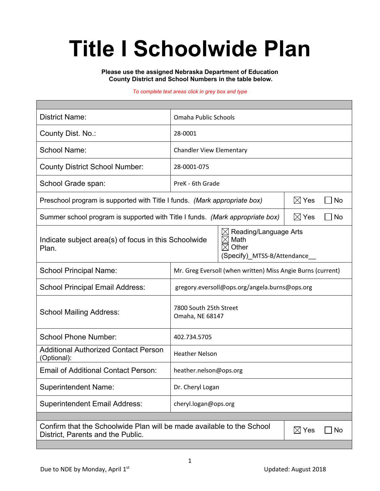# **Title I Schoolwide Plan**

**Please use the assigned Nebraska Department of Education County District and School Numbers in the table below.**

#### *To complete text areas click in grey box and type*

| <b>District Name:</b>                                                                                                                                                     | Omaha Public Schools                                        |                       |  |  |  |  |
|---------------------------------------------------------------------------------------------------------------------------------------------------------------------------|-------------------------------------------------------------|-----------------------|--|--|--|--|
| County Dist. No.:                                                                                                                                                         | 28-0001                                                     |                       |  |  |  |  |
| <b>School Name:</b>                                                                                                                                                       | <b>Chandler View Elementary</b>                             |                       |  |  |  |  |
| <b>County District School Number:</b>                                                                                                                                     | 28-0001-075                                                 |                       |  |  |  |  |
| School Grade span:                                                                                                                                                        | PreK - 6th Grade                                            |                       |  |  |  |  |
| Preschool program is supported with Title I funds. (Mark appropriate box)                                                                                                 |                                                             | $\boxtimes$ Yes<br>No |  |  |  |  |
| Summer school program is supported with Title I funds. (Mark appropriate box)                                                                                             |                                                             | $\boxtimes$ Yes<br>No |  |  |  |  |
| Reading/Language Arts<br>Ж<br>$\boxtimes$<br>Math<br>Indicate subject area(s) of focus in this Schoolwide<br>Other<br>$\bowtie$<br>Plan.<br>(Specify)_MTSS-B/Attendance__ |                                                             |                       |  |  |  |  |
| <b>School Principal Name:</b>                                                                                                                                             | Mr. Greg Eversoll (when written) Miss Angie Burns (current) |                       |  |  |  |  |
| <b>School Principal Email Address:</b>                                                                                                                                    | gregory.eversoll@ops.org/angela.burns@ops.org               |                       |  |  |  |  |
| <b>School Mailing Address:</b>                                                                                                                                            | 7800 South 25th Street<br>Omaha, NE 68147                   |                       |  |  |  |  |
| <b>School Phone Number:</b>                                                                                                                                               | 402.734.5705                                                |                       |  |  |  |  |
| <b>Additional Authorized Contact Person</b><br>(Optional):                                                                                                                | <b>Heather Nelson</b>                                       |                       |  |  |  |  |
| <b>Email of Additional Contact Person:</b>                                                                                                                                | heather.nelson@ops.org                                      |                       |  |  |  |  |
| <b>Superintendent Name:</b>                                                                                                                                               | Dr. Cheryl Logan                                            |                       |  |  |  |  |
| <b>Superintendent Email Address:</b>                                                                                                                                      | cheryl.logan@ops.org                                        |                       |  |  |  |  |
|                                                                                                                                                                           |                                                             |                       |  |  |  |  |
| Confirm that the Schoolwide Plan will be made available to the School<br>$\boxtimes$ Yes<br>No<br>District, Parents and the Public.                                       |                                                             |                       |  |  |  |  |
|                                                                                                                                                                           |                                                             |                       |  |  |  |  |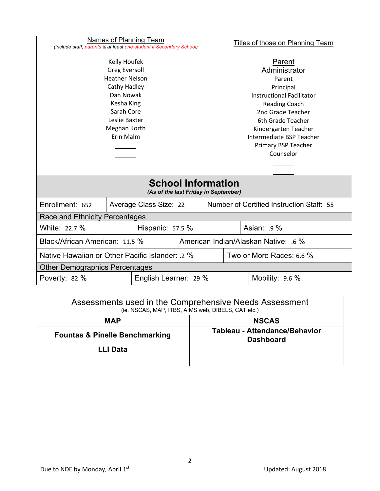| <b>Names of Planning Team</b><br>(include staff, parents & at least one student if Secondary School)                                                                 |  | <b>Titles of those on Planning Team</b> |                                                                                                                                                                                                                                              |                                           |             |  |  |
|----------------------------------------------------------------------------------------------------------------------------------------------------------------------|--|-----------------------------------------|----------------------------------------------------------------------------------------------------------------------------------------------------------------------------------------------------------------------------------------------|-------------------------------------------|-------------|--|--|
| Kelly Houfek<br><b>Greg Eversoll</b><br><b>Heather Nelson</b><br>Cathy Hadley<br>Dan Nowak<br>Kesha King<br>Sarah Core<br>Leslie Baxter<br>Meghan Korth<br>Erin Malm |  |                                         | Parent<br>Administrator<br>Parent<br>Principal<br><b>Instructional Facilitator</b><br><b>Reading Coach</b><br>2nd Grade Teacher<br>6th Grade Teacher<br>Kindergarten Teacher<br>Intermediate BSP Teacher<br>Primary BSP Teacher<br>Counselor |                                           |             |  |  |
| <b>School Information</b><br>(As of the last Friday in September)                                                                                                    |  |                                         |                                                                                                                                                                                                                                              |                                           |             |  |  |
| Enrollment: 652                                                                                                                                                      |  | Average Class Size: 22                  |                                                                                                                                                                                                                                              | Number of Certified Instruction Staff: 55 |             |  |  |
| Race and Ethnicity Percentages                                                                                                                                       |  |                                         |                                                                                                                                                                                                                                              |                                           |             |  |  |
| White: 22.7 %                                                                                                                                                        |  | Hispanic: 57.5 %                        |                                                                                                                                                                                                                                              |                                           | Asian: .9 % |  |  |
| Black/African American: 11.5 %                                                                                                                                       |  |                                         |                                                                                                                                                                                                                                              | American Indian/Alaskan Native: .6 %      |             |  |  |
| Native Hawaiian or Other Pacific Islander: .2 %                                                                                                                      |  |                                         |                                                                                                                                                                                                                                              | Two or More Races: 6.6 %                  |             |  |  |
| <b>Other Demographics Percentages</b>                                                                                                                                |  |                                         |                                                                                                                                                                                                                                              |                                           |             |  |  |
| English Learner: 29 %<br>Poverty: 82 %                                                                                                                               |  |                                         | Mobility: 9.6 %                                                                                                                                                                                                                              |                                           |             |  |  |
|                                                                                                                                                                      |  |                                         |                                                                                                                                                                                                                                              |                                           |             |  |  |

| Assessments used in the Comprehensive Needs Assessment<br>(ie. NSCAS, MAP, ITBS, AIMS web, DIBELS, CAT etc.) |                                                   |  |  |  |
|--------------------------------------------------------------------------------------------------------------|---------------------------------------------------|--|--|--|
| <b>MAP</b>                                                                                                   | <b>NSCAS</b>                                      |  |  |  |
| <b>Fountas &amp; Pinelle Benchmarking</b>                                                                    | Tableau - Attendance/Behavior<br><b>Dashboard</b> |  |  |  |
| LLI Data                                                                                                     |                                                   |  |  |  |
|                                                                                                              |                                                   |  |  |  |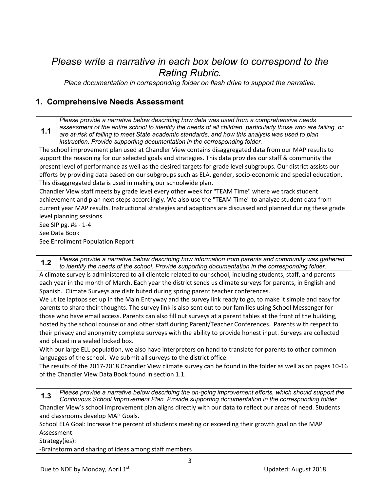# *Please write a narrative in each box below to correspond to the Rating Rubric.*<br>*Place documentation in corresponding folder on flash drive to support the narrative.*

#### **1. Comprehensive Needs Assessment**

**1.1** *Please provide a narrative below describing how data was used from a comprehensive needs assessment of the entire school to identify the needs of all children, particularly those who are failing, or are at-risk of failing to meet State academic standards, and how this analysis was used to plan instruction. Provide supporting documentation in the corresponding folder.*

The school improvement plan used at Chandler View contains disaggregated data from our MAP results to support the reasoning for our selected goals and strategies. This data provides our staff & community the present level of performance as well as the desired targets for grade level subgroups. Our district assists our efforts by providing data based on our subgroups such as ELA, gender, socio-economic and special education. This disaggregated data is used in making our schoolwide plan.

Chandler View staff meets by grade level every other week for "TEAM Time" where we track student achievement and plan next steps accordingly. We also use the "TEAM Time" to analyze student data from current year MAP results. Instructional strategies and adaptions are discussed and planned during these grade level planning sessions.

See SIP pg. #s - 1-4

See Data Book

See Enrollment Population Report

**1.2** *Please provide a narrative below describing how information from parents and community was gathered to identify the needs of the school. Provide supporting documentation in the corresponding folder.*

A climate survey is administered to all clientele related to our school, including students, staff, and parents each year in the month of March. Each year the district sends us climate surveys for parents, in English and Spanish. Climate Surveys are distributed during spring parent teacher conferences.

We utlize laptops set up in the Main Entryway and the survey link ready to go, to make it simple and easy for parents to share their thoughts. The survey link is also sent out to our families using School Messenger for those who have email access. Parents can also fill out surveys at a parent tables at the front of the building, hosted by the school counselor and other staff during Parent/Teacher Conferences. Parents with respect to their privacy and anonymity complete surveys with the ability to provide honest input. Surveys are collected and placed in a sealed locked box.

With our large ELL population, we also have interpreters on hand to translate for parents to other common languages of the school. We submit all surveys to the district office.

The results of the 2017-2018 Chandler View climate survey can be found in the folder as well as on pages 10-16 of the Chandler View Data Book found in section 1.1.

**1.3** *Please provide a narrative below describing the on-going improvement efforts, which should support the Continuous School Improvement Plan. Provide supporting documentation in the corresponding folder.*

Chandler View's school improvement plan aligns directly with our data to reflect our areas of need. Students and classrooms develop MAP Goals.

School ELA Goal: Increase the percent of students meeting or exceeding their growth goal on the MAP Assessment

Strategy(ies):

-Brainstorm and sharing of ideas among staff members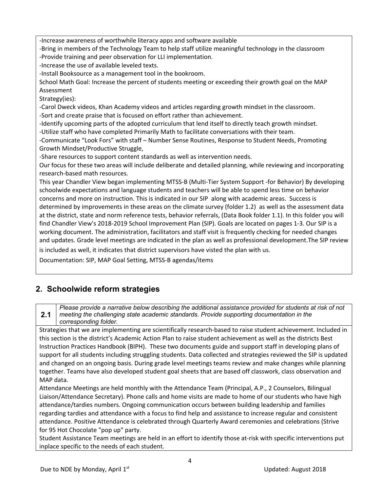-Increase awareness of worthwhile literacy apps and software available

-Bring in members of the Technology Team to help staff utilize meaningful technology in the classroom -Provide training and peer observation for LLI implementation.

-Increase the use of available leveled texts.

-Install Booksource as a management tool in the bookroom.

School Math Goal: Increase the percent of students meeting or exceeding their growth goal on the MAP Assessment

Strategy(ies):

-Carol Dweck videos, Khan Academy videos and articles regarding growth mindset in the classroom. -Sort and create praise that is focused on effort rather than achievement.

-Identify upcoming parts of the adopted curriculum that lend itself to directly teach growth mindset. -Utilize staff who have completed Primarily Math to facilitate conversations with their team.

-Communicate "Look Fors" with staff – Number Sense Routines, Response to Student Needs, Promoting Growth Mindset/Productive Struggle,

-Share resources to support content standards as well as intervention needs.

Our focus for these two areas will include deliberate and detailed planning, while reviewing and incorporating research-based math resources.

This year Chandler View began implementing MTSS-B (Multi-Tier System Support -for Behavior) By developing schoolwide expectations and language students and teachers will be able to spend less time on behavior concerns and more on instruction. This is indicated in our SIP along with academic areas. Success is determined by improvements in these areas on the climate survey (folder 1.2) as well as the assessment data at the district, state and norm reference tests, behavior referrals, (Data Book folder 1.1). In this folder you will find Chandler View's 2018-2019 School Improvement Plan (SIP). Goals are located on pages 1-3. Our SIP is a working document. The administration, facilitators and staff visit is frequently checking for needed changes and updates. Grade level meetings are indicated in the plan as well as professional development.The SIP review

is included as well, it indicates that district supervisors have visted the plan with us.

Documentation: SIP, MAP Goal Setting, MTSS-B agendas/items

#### **2. Schoolwide reform strategies**

**2.1** *Please provide a narrative below describing the additional assistance provided for students at risk of not meeting the challenging state academic standards. Provide supporting documentation in the corresponding folder.*

Strategies that we are implementing are scientifically research-based to raise student achievement. Included in this section is the district's Academic Action Plan to raise student achievement as well as the districts Best Instruction Practices Handbook (BIPH). These two documents guide and support staff in developing plans of support for all students including struggling students. Data collected and strategies reviewed the SIP is updated and changed on an ongoing basis. During grade level meetings teams review and make changes while planning together. Teams have also developed student goal sheets that are based off classwork, class observation and MAP data.

Attendance Meetings are held monthly with the Attendance Team (Principal, A.P., 2 Counselors, Bilingual Liaison/Attendance Secretary). Phone calls and home visits are made to home of our students who have high attendance/tardies numbers. Ongoing communication occurs between building leadership and families regarding tardies and attendance with a focus to find help and assistance to increase regular and consistent attendance. Positive Attendance is celebrated through Quarterly Award ceremonies and celebrations (Strive for 95 Hot Chocolate "pop up" party.

Student Assistance Team meetings are held in an effort to identify those at-risk with specific interventions put inplace specific to the needs of each student.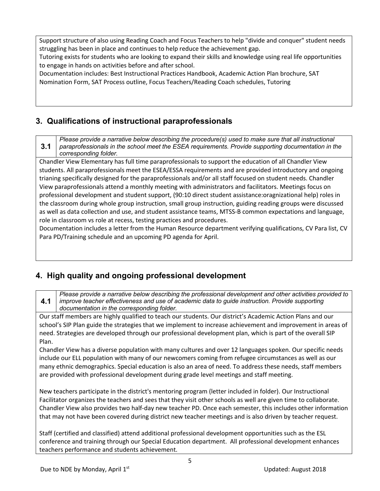Support structure of also using Reading Coach and Focus Teachers to help "divide and conquer" student needs struggling has been in place and continues to help reduce the achievement gap.

Tutoring exists for students who are looking to expand their skills and knowledge using real life opportunities to engage in hands on activities before and after school.

Documentation includes: Best Instructional Practices Handbook, Academic Action Plan brochure, SAT Nomination Form, SAT Process outline, Focus Teachers/Reading Coach schedules, Tutoring

### **3. Qualifications of instructional paraprofessionals**

**3.1** *Please provide a narrative below describing the procedure(s) used to make sure that all instructional paraprofessionals in the school meet the ESEA requirements. Provide supporting documentation in the corresponding folder.*

Chandler View Elementary has full time paraprofessionals to support the education of all Chandler View students. All paraprofessionals meet the ESEA/ESSA requirements and are provided introductory and ongoing trianing specifically designed for the paraprofessionals and/or all staff focused on student needs. Chandler View paraprofessionals attend a monthly meeting with administrators and facilitators. Meetings focus on professional development and student support, (90:10 direct student assistance:oragnizational help) roles in the classroom during whole group instruction, small group instruction, guiding reading groups were discussed as well as data collection and use, and student assistance teams, MTSS-B common expectations and language, role in classroom vs role at recess, testing practices and procedures.

Documentation includes a letter from the Human Resource department verifying qualifications, CV Para list, CV Para PD/Training schedule and an upcoming PD agenda for April.

## **4. High quality and ongoing professional development**

**4.1** *Please provide a narrative below describing the professional development and other activities provided to improve teacher effectiveness and use of academic data to guide instruction. Provide supporting documentation in the corresponding folder.*

Our staff members are highly qualified to teach our students. Our district's Academic Action Plans and our school's SIP Plan guide the strategies that we implement to increase achievement and improvement in areas of need. Strategies are developed through our professional development plan, which is part of the overall SIP Plan.

Chandler View has a diverse population with many cultures and over 12 languages spoken. Our specific needs include our ELL population with many of our newcomers coming from refugee circumstances as well as our many ethnic demographics. Special education is also an area of need. To address these needs, staff members are provided with professional development during grade level meetings and staff meeting.

New teachers participate in the district's mentoring program (letter included in folder). Our Instructional Facilitator organizes the teachers and sees that they visit other schools as well are given time to collaborate. Chandler View also provides two half-day new teacher PD. Once each semester, this includes other information that may not have been covered during district new teacher meetings and is also driven by teacher request.

Staff (certified and classified) attend additional professional development opportunities such as the ESL conference and training through our Special Education department. All professional development enhances teachers performance and students achievement.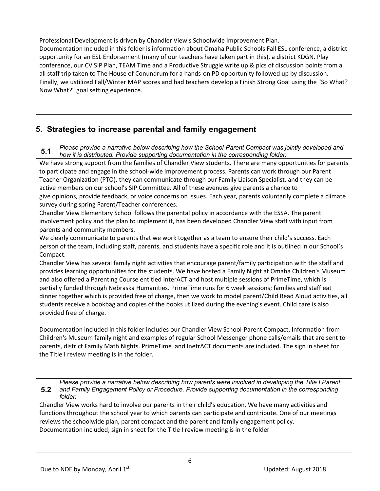Professional Development is driven by Chandler View's Schoolwide Improvement Plan. Documentation Included in this folder is information about Omaha Public Schools Fall ESL conference, a district opportunity for an ESL Endorsement (many of our teachers have taken part in this), a district KDGN. Play conference, our CV SIP Plan, TEAM Time and a Productive Struggle write up & pics of discussion points from a all staff trip taken to The House of Conundrum for a hands-on PD opportunity followed up by discussion. Finally, we ustilized Fall/Winter MAP scores and had teachers develop a Finish Strong Goal using the "So What? Now What?" goal setting experience.

### **5. Strategies to increase parental and family engagement**

**5.1** *Please provide a narrative below describing how the School-Parent Compact was jointly developed and how it is distributed. Provide supporting documentation in the corresponding folder.*

We have strong support from the families of Chandler View students. There are many opportunities for parents to participate and engage in the school-wide improvement process. Parents can work through our Parent Teacher Organization (PTO), they can communicate through our Family Liaison Specialist, and they can be active members on our school's SIP Committee. All of these avenues give parents a chance to give opinions, provide feedback, or voice concerns on issues. Each year, parents voluntarily complete a climate survey during spring Parent/Teacher conferences.

Chandler View Elementary School follows the parental policy in accordance with the ESSA. The parent involvement policy and the plan to implement it, has been developed Chandler View staff with input from parents and community members.

We clearly communicate to parents that we work together as a team to ensure their child's success. Each person of the team, including staff, parents, and students have a specific role and it is outlined in our School's Compact.

Chandler View has several family night activities that encourage parent/family participation with the staff and provides learning opportunities for the students. We have hosted a Family Night at Omaha Children's Museum and also offered a Parenting Course entitled InterACT and host multiple sessions of PrimeTime, which is partially funded through Nebraska Humanities. PrimeTime runs for 6 week sessions; families and staff eat dinner together which is provided free of charge, then we work to model parent/Child Read Aloud activities, all students receive a bookbag and copies of the books utilized during the evening's event. Child care is also provided free of charge.

Documentation included in this folder includes our Chandler View School-Parent Compact, Information from Children's Museum family night and examples of regular School Messenger phone calls/emails that are sent to parents, district Family Math Nights. PrimeTime and InetrACT documents are included. The sign in sheet for the Title I review meeting is in the folder.

**5.2** *Please provide a narrative below describing how parents were involved in developing the Title I Parent and Family Engagement Policy or Procedure. Provide supporting documentation in the corresponding folder.*

Chandler View works hard to involve our parents in their child's education. We have many activities and functions throughout the school year to which parents can participate and contribute. One of our meetings reviews the schoolwide plan, parent compact and the parent and family engagement policy. Documentation included; sign in sheet for the Title I review meeting is in the folder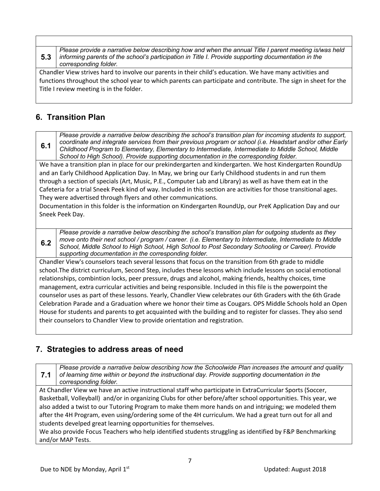**5.3** *Please provide a narrative below describing how and when the annual Title I parent meeting is/was held informing parents of the school's participation in Title I. Provide supporting documentation in the corresponding folder.*

Chandler View strives hard to involve our parents in their child's education. We have many activities and functions throughout the school year to which parents can participate and contribute. The sign in sheet for the Title I review meeting is in the folder.

#### **6. Transition Plan**

**6.1**

*Please provide a narrative below describing the school's transition plan for incoming students to support, coordinate and integrate services from their previous program or school (i.e. Headstart and/or other Early Childhood Program to Elementary, Elementary to Intermediate, Intermediate to Middle School, Middle School to High School). Provide supporting documentation in the corresponding folder.*

We have a transition plan in place for our prekindergarten and kindergarten. We host Kindergarten RoundUp and an Early Childhood Application Day. In May, we bring our Early Childhood students in and run them through a section of specials (Art, Music, P.E., Computer Lab and Library) as well as have them eat in the Cafeteria for a trial Sneek Peek kind of way. Included in this section are activities for those transitional ages. They were advertised through flyers and other communications.

Documentation in this folder is the information on Kindergarten RoundUp, our PreK Application Day and our Sneek Peek Day.

**6.2** *Please provide a narrative below describing the school's transition plan for outgoing students as they move onto their next school / program / career. (i.e. Elementary to Intermediate, Intermediate to Middle School, Middle School to High School, High School to Post Secondary Schooling or Career). Provide supporting documentation in the corresponding folder.*

Chandler View's counselors teach several lessons that focus on the transition from 6th grade to middle school.The district curriculum, Second Step, includes these lessons which include lessons on social emotional relationships, combintion locks, peer pressure, drugs and alcohol, making friends, healthy choices, time management, extra curricular activities and being responsible. Included in this file is the powerpoint the counselor uses as part of these lessons. Yearly, Chandler View celebrates our 6th Graders with the 6th Grade Celebration Parade and a Graduation where we honor their time as Cougars. OPS Middle Schools hold an Open House for students and parents to get acquainted with the building and to register for classes. They also send their counselors to Chandler View to provide orientation and registration.

#### **7. Strategies to address areas of need**

**7.1** *Please provide a narrative below describing how the Schoolwide Plan increases the amount and quality of learning time within or beyond the instructional day. Provide supporting documentation in the corresponding folder.*

At Chandler View we have an active instructional staff who participate in ExtraCurricular Sports (Soccer, Basketball, Volleyball) and/or in organizing Clubs for other before/after school opportunities. This year, we also added a twist to our Tutoring Program to make them more hands on and intriguing; we modeled them after the 4H Program, even using/ordering some of the 4H curriculum. We had a great turn out for all and students develped great learning opportunities for themselves.

We also provide Focus Teachers who help identified students struggling as identified by F&P Benchmarking and/or MAP Tests.